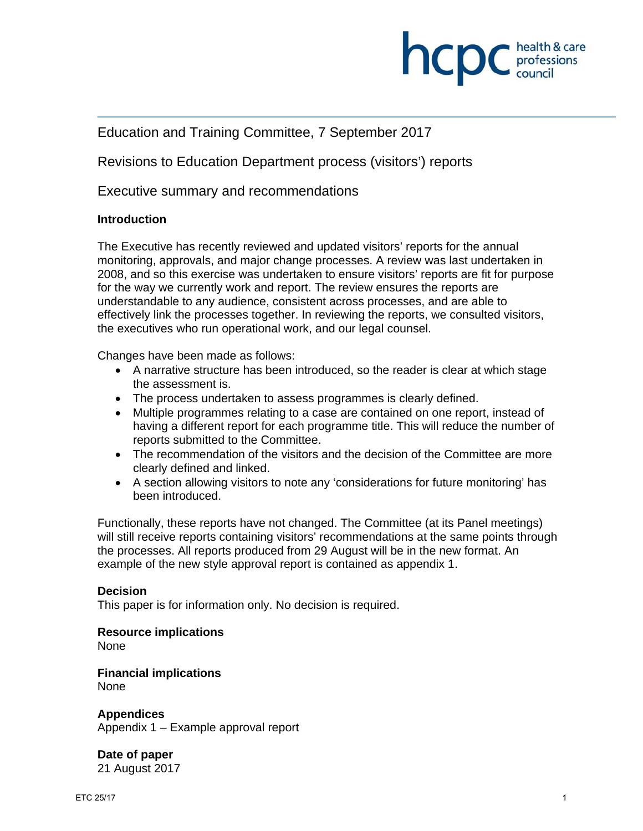

# Education and Training Committee, 7 September 2017

Revisions to Education Department process (visitors') reports

Executive summary and recommendations

## **Introduction**

The Executive has recently reviewed and updated visitors' reports for the annual monitoring, approvals, and major change processes. A review was last undertaken in 2008, and so this exercise was undertaken to ensure visitors' reports are fit for purpose for the way we currently work and report. The review ensures the reports are understandable to any audience, consistent across processes, and are able to effectively link the processes together. In reviewing the reports, we consulted visitors, the executives who run operational work, and our legal counsel.

Changes have been made as follows:

- A narrative structure has been introduced, so the reader is clear at which stage the assessment is.
- The process undertaken to assess programmes is clearly defined.
- Multiple programmes relating to a case are contained on one report, instead of having a different report for each programme title. This will reduce the number of reports submitted to the Committee.
- The recommendation of the visitors and the decision of the Committee are more clearly defined and linked.
- A section allowing visitors to note any 'considerations for future monitoring' has been introduced.

Functionally, these reports have not changed. The Committee (at its Panel meetings) will still receive reports containing visitors' recommendations at the same points through the processes. All reports produced from 29 August will be in the new format. An example of the new style approval report is contained as appendix 1.

#### **Decision**

This paper is for information only. No decision is required.

**Resource implications** 

None

**Financial implications**  None

**Appendices**  Appendix 1 – Example approval report

**Date of paper**  21 August 2017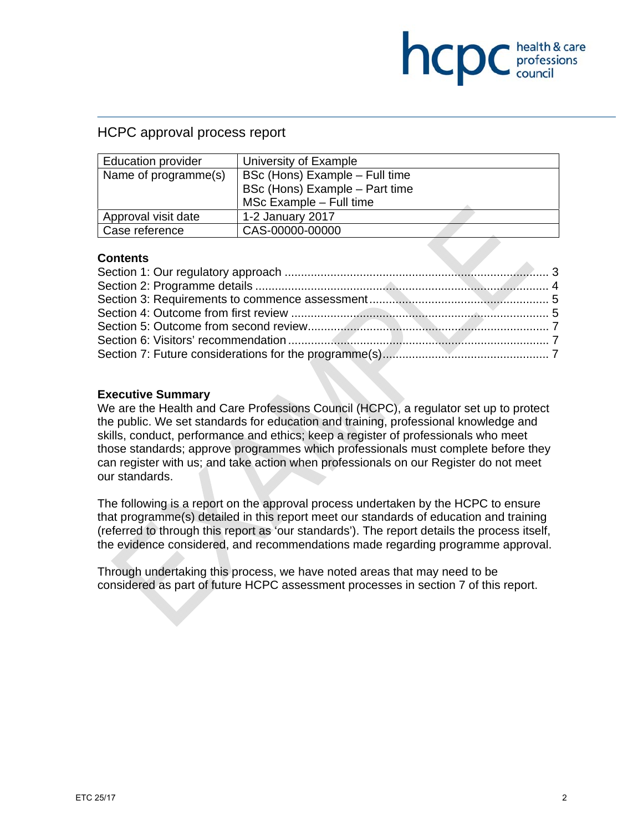# **INCID** C health & care

# HCPC approval process report

| <b>Education provider</b> | University of Example          |  |
|---------------------------|--------------------------------|--|
| Name of programme(s)      | BSc (Hons) Example - Full time |  |
|                           | BSc (Hons) Example - Part time |  |
|                           | MSc Example - Full time        |  |
| Approval visit date       | 1-2 January 2017               |  |
| Case reference            | CAS-00000-00000                |  |

## **Contents**

## **Executive Summary**

We are the Health and Care Professions Council (HCPC), a regulator set up to protect the public. We set standards for education and training, professional knowledge and skills, conduct, performance and ethics; keep a register of professionals who meet those standards; approve programmes which professionals must complete before they can register with us; and take action when professionals on our Register do not meet our standards.

The following is a report on the approval process undertaken by the HCPC to ensure that programme(s) detailed in this report meet our standards of education and training (referred to through this report as 'our standards'). The report details the process itself, the evidence considered, and recommendations made regarding programme approval.

Through undertaking this process, we have noted areas that may need to be considered as part of future HCPC assessment processes in section 7 of this report.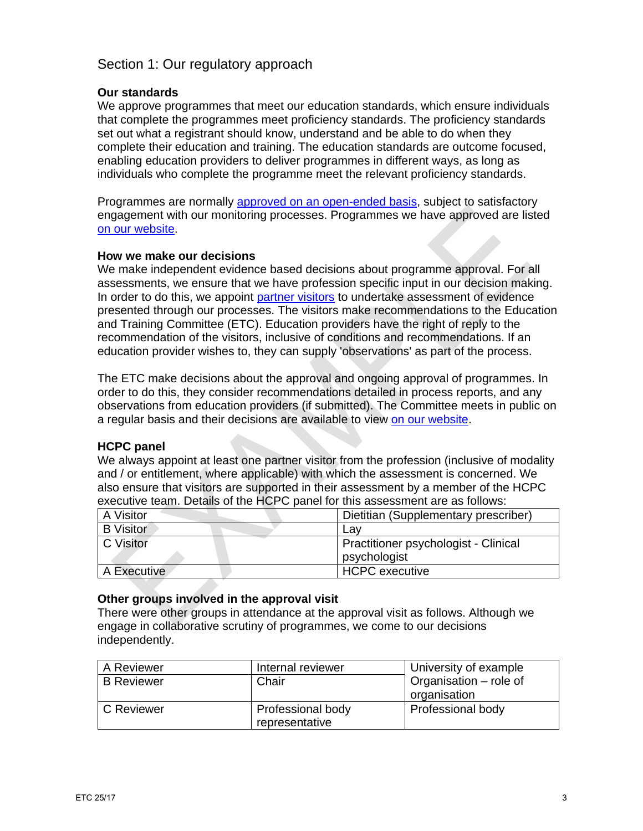# Section 1: Our regulatory approach

## **Our standards**

We approve programmes that meet our education standards, which ensure individuals that complete the programmes meet proficiency standards. The proficiency standards set out what a registrant should know, understand and be able to do when they complete their education and training. The education standards are outcome focused, enabling education providers to deliver programmes in different ways, as long as individuals who complete the programme meet the relevant proficiency standards.

Programmes are normally approved on an open-ended basis, subject to satisfactory engagement with our monitoring processes. Programmes we have approved are listed on our website.

## **How we make our decisions**

We make independent evidence based decisions about programme approval. For all assessments, we ensure that we have profession specific input in our decision making. In order to do this, we appoint partner visitors to undertake assessment of evidence presented through our processes. The visitors make recommendations to the Education and Training Committee (ETC). Education providers have the right of reply to the recommendation of the visitors, inclusive of conditions and recommendations. If an education provider wishes to, they can supply 'observations' as part of the process.

The ETC make decisions about the approval and ongoing approval of programmes. In order to do this, they consider recommendations detailed in process reports, and any observations from education providers (if submitted). The Committee meets in public on a regular basis and their decisions are available to view on our website.

## **HCPC panel**

We always appoint at least one partner visitor from the profession (inclusive of modality and / or entitlement, where applicable) with which the assessment is concerned. We also ensure that visitors are supported in their assessment by a member of the HCPC executive team. Details of the HCPC panel for this assessment are as follows:

| A Visitor        | Dietitian (Supplementary prescriber)                 |
|------------------|------------------------------------------------------|
| <b>B</b> Visitor | Lav                                                  |
| C Visitor        | Practitioner psychologist - Clinical<br>psychologist |
| A Executive      | <b>HCPC</b> executive                                |

## **Other groups involved in the approval visit**

There were other groups in attendance at the approval visit as follows. Although we engage in collaborative scrutiny of programmes, we come to our decisions independently.

| A Reviewer        | Internal reviewer                   | University of example                  |
|-------------------|-------------------------------------|----------------------------------------|
| <b>B</b> Reviewer | Chair                               | Organisation – role of<br>organisation |
| C Reviewer        | Professional body<br>representative | <b>Professional body</b>               |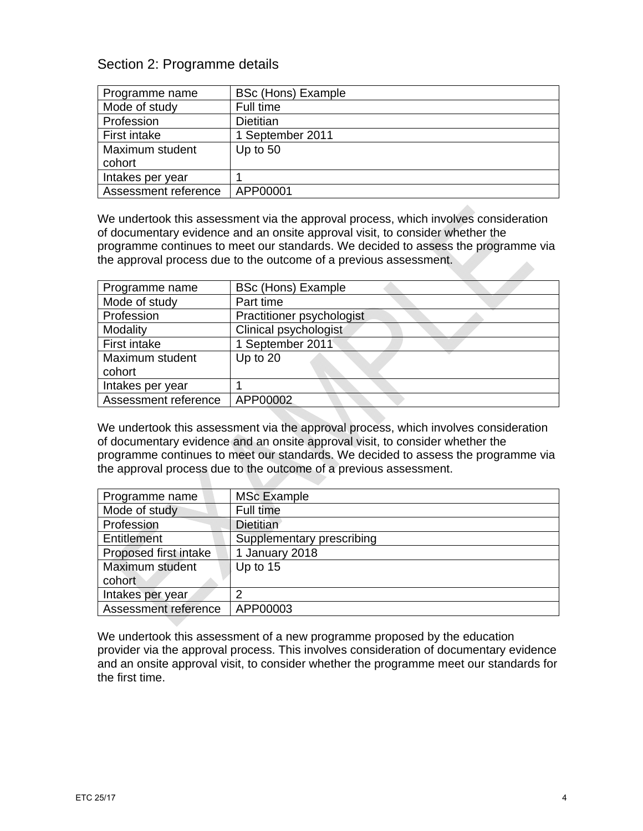# Section 2: Programme details

| Programme name       | <b>BSc (Hons) Example</b> |
|----------------------|---------------------------|
|                      |                           |
| Mode of study        | Full time                 |
| Profession           | <b>Dietitian</b>          |
| First intake         | 1 September 2011          |
| Maximum student      | Up to $50$                |
| cohort               |                           |
| Intakes per year     |                           |
| Assessment reference | APP00001                  |

We undertook this assessment via the approval process, which involves consideration of documentary evidence and an onsite approval visit, to consider whether the programme continues to meet our standards. We decided to assess the programme via the approval process due to the outcome of a previous assessment.

| Programme name       | <b>BSc (Hons) Example</b> |
|----------------------|---------------------------|
| Mode of study        | Part time                 |
| Profession           | Practitioner psychologist |
| Modality             | Clinical psychologist     |
| First intake         | 1 September 2011          |
| Maximum student      | Up to $20$                |
| cohort               |                           |
| Intakes per year     |                           |
| Assessment reference | APP00002                  |

We undertook this assessment via the approval process, which involves consideration of documentary evidence and an onsite approval visit, to consider whether the programme continues to meet our standards. We decided to assess the programme via the approval process due to the outcome of a previous assessment.

| Programme name        | <b>MSc Example</b>        |
|-----------------------|---------------------------|
| Mode of study         | Full time                 |
| Profession            | Dietitian                 |
| Entitlement           | Supplementary prescribing |
| Proposed first intake | 1 January 2018            |
| Maximum student       | Up to $15$                |
| cohort                |                           |
| Intakes per year      | っ                         |
| Assessment reference  | APP00003                  |

We undertook this assessment of a new programme proposed by the education provider via the approval process. This involves consideration of documentary evidence and an onsite approval visit, to consider whether the programme meet our standards for the first time.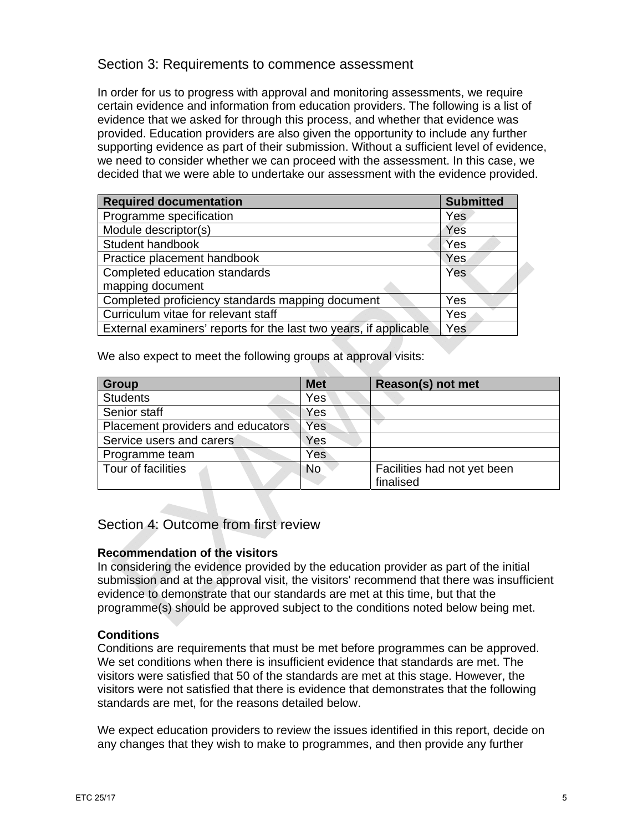## Section 3: Requirements to commence assessment

In order for us to progress with approval and monitoring assessments, we require certain evidence and information from education providers. The following is a list of evidence that we asked for through this process, and whether that evidence was provided. Education providers are also given the opportunity to include any further supporting evidence as part of their submission. Without a sufficient level of evidence, we need to consider whether we can proceed with the assessment. In this case, we decided that we were able to undertake our assessment with the evidence provided.

| <b>Required documentation</b>                                     | <b>Submitted</b> |  |
|-------------------------------------------------------------------|------------------|--|
| Programme specification                                           | Yes              |  |
| Module descriptor(s)                                              | Yes              |  |
| Student handbook                                                  | Yes              |  |
| Practice placement handbook                                       | Yes              |  |
| Completed education standards                                     | Yes              |  |
| mapping document                                                  |                  |  |
| Completed proficiency standards mapping document                  | Yes              |  |
| Curriculum vitae for relevant staff<br>Yes                        |                  |  |
| External examiners' reports for the last two years, if applicable | Yes              |  |

We also expect to meet the following groups at approval visits:

| <b>Group</b>                      | <b>Met</b> | Reason(s) not met           |
|-----------------------------------|------------|-----------------------------|
| <b>Students</b>                   | Yes        |                             |
| Senior staff                      | Yes        |                             |
| Placement providers and educators | Yes        |                             |
| Service users and carers          | Yes        |                             |
| Programme team                    | Yes        |                             |
| Tour of facilities                | <b>No</b>  | Facilities had not yet been |
|                                   |            | finalised                   |

## Section 4: Outcome from first review

## **Recommendation of the visitors**

In considering the evidence provided by the education provider as part of the initial submission and at the approval visit, the visitors' recommend that there was insufficient evidence to demonstrate that our standards are met at this time, but that the programme(s) should be approved subject to the conditions noted below being met.

## **Conditions**

Conditions are requirements that must be met before programmes can be approved. We set conditions when there is insufficient evidence that standards are met. The visitors were satisfied that 50 of the standards are met at this stage. However, the visitors were not satisfied that there is evidence that demonstrates that the following standards are met, for the reasons detailed below.

We expect education providers to review the issues identified in this report, decide on any changes that they wish to make to programmes, and then provide any further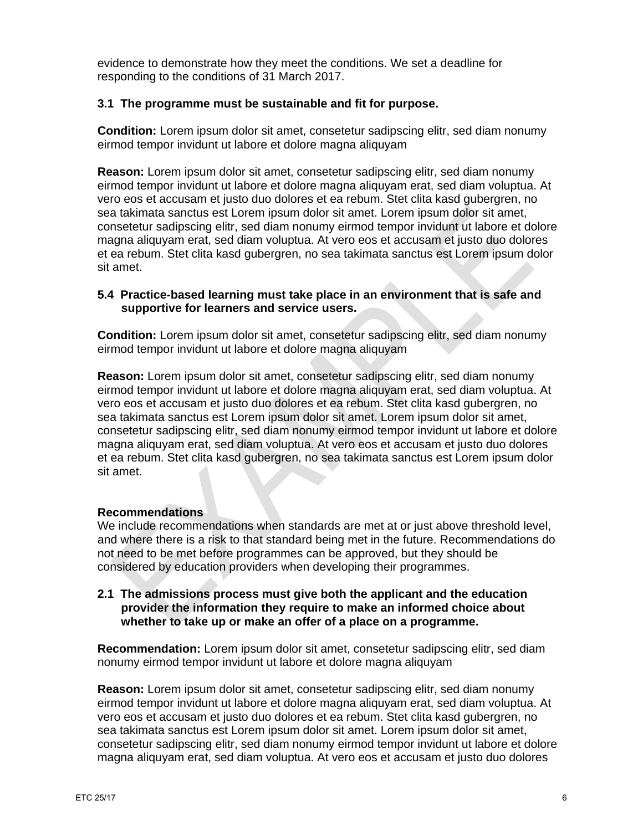evidence to demonstrate how they meet the conditions. We set a deadline for responding to the conditions of 31 March 2017.

## **3.1 The programme must be sustainable and fit for purpose.**

**Condition:** Lorem ipsum dolor sit amet, consetetur sadipscing elitr, sed diam nonumy eirmod tempor invidunt ut labore et dolore magna aliquyam

**Reason:** Lorem ipsum dolor sit amet, consetetur sadipscing elitr, sed diam nonumy eirmod tempor invidunt ut labore et dolore magna aliquyam erat, sed diam voluptua. At vero eos et accusam et justo duo dolores et ea rebum. Stet clita kasd gubergren, no sea takimata sanctus est Lorem ipsum dolor sit amet. Lorem ipsum dolor sit amet, consetetur sadipscing elitr, sed diam nonumy eirmod tempor invidunt ut labore et dolore magna aliquyam erat, sed diam voluptua. At vero eos et accusam et justo duo dolores et ea rebum. Stet clita kasd gubergren, no sea takimata sanctus est Lorem ipsum dolor sit amet.

## **5.4 Practice-based learning must take place in an environment that is safe and supportive for learners and service users.**

**Condition:** Lorem ipsum dolor sit amet, consetetur sadipscing elitr, sed diam nonumy eirmod tempor invidunt ut labore et dolore magna aliquyam

**Reason:** Lorem ipsum dolor sit amet, consetetur sadipscing elitr, sed diam nonumy eirmod tempor invidunt ut labore et dolore magna aliquyam erat, sed diam voluptua. At vero eos et accusam et justo duo dolores et ea rebum. Stet clita kasd gubergren, no sea takimata sanctus est Lorem ipsum dolor sit amet. Lorem ipsum dolor sit amet, consetetur sadipscing elitr, sed diam nonumy eirmod tempor invidunt ut labore et dolore magna aliquyam erat, sed diam voluptua. At vero eos et accusam et justo duo dolores et ea rebum. Stet clita kasd gubergren, no sea takimata sanctus est Lorem ipsum dolor sit amet.

## **Recommendations**

We include recommendations when standards are met at or just above threshold level, and where there is a risk to that standard being met in the future. Recommendations do not need to be met before programmes can be approved, but they should be considered by education providers when developing their programmes.

## **2.1 The admissions process must give both the applicant and the education provider the information they require to make an informed choice about whether to take up or make an offer of a place on a programme.**

**Recommendation:** Lorem ipsum dolor sit amet, consetetur sadipscing elitr, sed diam nonumy eirmod tempor invidunt ut labore et dolore magna aliquyam

**Reason:** Lorem ipsum dolor sit amet, consetetur sadipscing elitr, sed diam nonumy eirmod tempor invidunt ut labore et dolore magna aliquyam erat, sed diam voluptua. At vero eos et accusam et justo duo dolores et ea rebum. Stet clita kasd gubergren, no sea takimata sanctus est Lorem ipsum dolor sit amet. Lorem ipsum dolor sit amet, consetetur sadipscing elitr, sed diam nonumy eirmod tempor invidunt ut labore et dolore magna aliquyam erat, sed diam voluptua. At vero eos et accusam et justo duo dolores